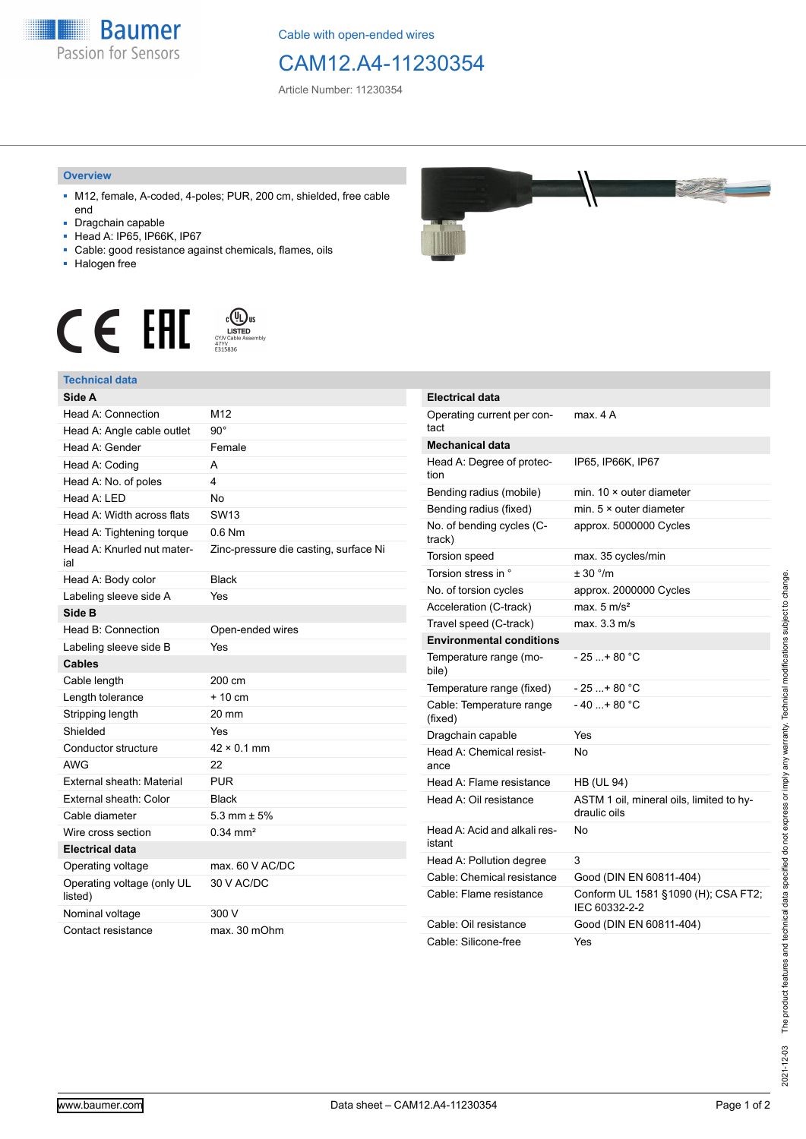

Cable with open-ended wires

## CAM12.A4-11230354

Article Number: 11230354

## **Overview**

- M12, female, A-coded, 4-poles; PUR, 200 cm, shielded, free cable end
- Dragchain capable
- Head A: IP65, IP66K, IP67
- Cable: good resistance against chemicals, flames, oils
- Halogen free





## **Technical data**





| <b>Electrical data</b>                 |                                                          |
|----------------------------------------|----------------------------------------------------------|
| Operating current per con-<br>tact     | max. 4A                                                  |
| Mechanical data                        |                                                          |
| Head A: Degree of protec-<br>tion      | IP65, IP66K, IP67                                        |
| Bending radius (mobile)                | min. $10 \times$ outer diameter                          |
| Bending radius (fixed)                 | min. $5 \times$ outer diameter                           |
| No. of bending cycles (C-<br>track)    | approx. 5000000 Cycles                                   |
| Torsion speed                          | max. 35 cycles/min                                       |
| Torsion stress in °                    | ± 30 °/m                                                 |
| No. of torsion cycles                  | approx. 2000000 Cycles                                   |
| Acceleration (C-track)                 | max. $5 \text{ m/s}^2$                                   |
| Travel speed (C-track)                 | max. 3.3 m/s                                             |
| <b>Environmental conditions</b>        |                                                          |
| Temperature range (mo-<br>bile)        | - 25 + 80 °C                                             |
| Temperature range (fixed)              | - 25 + 80 °C                                             |
| Cable: Temperature range<br>(fixed)    | $-40+80 °C$                                              |
| Dragchain capable                      | Yes                                                      |
| Head A: Chemical resist-<br>ance       | N٥                                                       |
| Head A: Flame resistance               | <b>HB (UL 94)</b>                                        |
| Head A: Oil resistance                 | ASTM 1 oil, mineral oils, limited to hy-<br>draulic oils |
| Head A: Acid and alkali res-<br>istant | Nο                                                       |
| Head A: Pollution degree               | 3                                                        |
| Cable: Chemical resistance             | Good (DIN EN 60811-404)                                  |
| Cable: Flame resistance                | Conform UL 1581 §1090 (H); CSA FT2;<br>IEC 60332-2-2     |
| Cable: Oil resistance                  | Good (DIN EN 60811-404)                                  |
| Cable: Silicone-free                   | Yes                                                      |